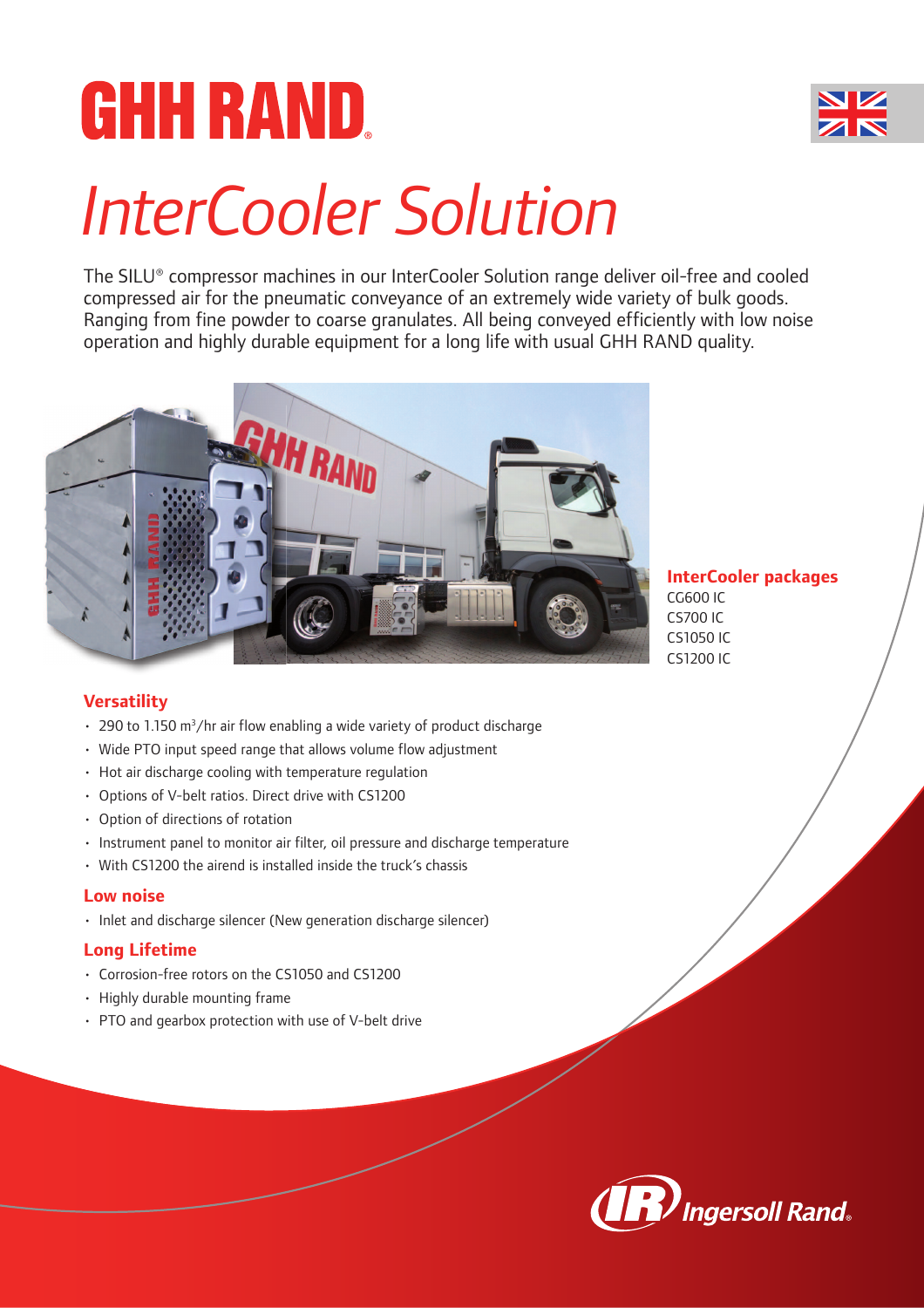# **GHH RAND.** *InterCooler Solution*

The SILU® compressor machines in our InterCooler Solution range deliver oil-free and cooled compressed air for the pneumatic conveyance of an extremely wide variety of bulk goods. Ranging from fine powder to coarse granulates. All being conveyed efficiently with low noise operation and highly durable equipment for a long life with usual GHH RAND quality.



**InterCooler packages** CG600 IC CS700 IC CS1050 IC CS1200 IC

# **Versatility**

- $\cdot$  290 to 1.150 m<sup>3</sup>/hr air flow enabling a wide variety of product discharge
- Wide PTO input speed range that allows volume flow adjustment
- Hot air discharge cooling with temperature regulation
- Options of V-belt ratios. Direct drive with CS1200
- Option of directions of rotation
- Instrument panel to monitor air filter, oil pressure and discharge temperature
- With CS1200 the airend is installed inside the truck's chassis

#### **Low noise**

• Inlet and discharge silencer (New generation discharge silencer)

#### **Long Lifetime**

- Corrosion-free rotors on the CS1050 and CS1200
- Highly durable mounting frame
- PTO and gearbox protection with use of V-belt drive